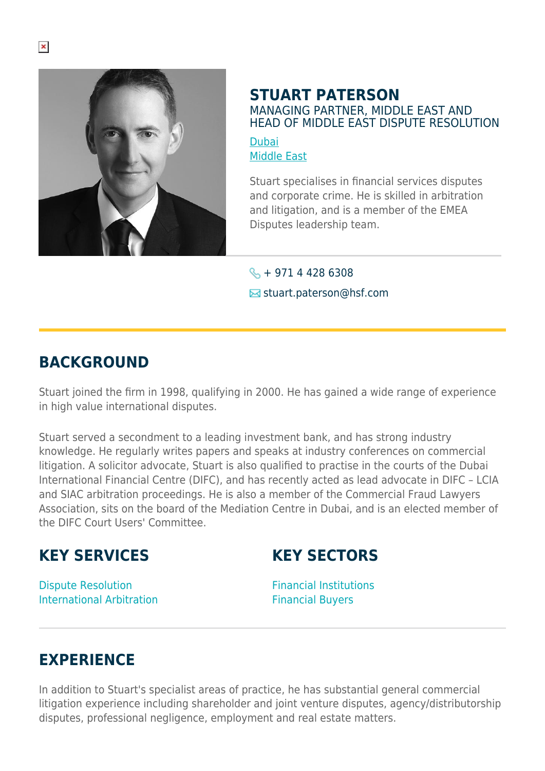

## **STUART PATERSON** MANAGING PARTNER, MIDDLE EAST AND HEAD OF MIDDLE EAST DISPUTE RESOLUTION

[Dubai](https://www.herbertsmithfreehills.com/lang-es/where-we-work/dubai) [Middle East](https://www.herbertsmithfreehills.com/lang-es/where-we-work/middle-east)

Stuart specialises in financial services disputes and corporate crime. He is skilled in arbitration and litigation, and is a member of the EMEA Disputes leadership team.

 $\leftarrow + 97144286308$ 

**■** stuart.paterson@hsf.com

## **BACKGROUND**

Stuart joined the firm in 1998, qualifying in 2000. He has gained a wide range of experience in high value international disputes.

Stuart served a secondment to a leading investment bank, and has strong industry knowledge. He regularly writes papers and speaks at industry conferences on commercial litigation. A solicitor advocate, Stuart is also qualified to practise in the courts of the Dubai International Financial Centre (DIFC), and has recently acted as lead advocate in DIFC – LCIA and SIAC arbitration proceedings. He is also a member of the Commercial Fraud Lawyers Association, sits on the board of the Mediation Centre in Dubai, and is an elected member of the DIFC Court Users' Committee.

## **KEY SERVICES**

**KEY SECTORS**

Dispute Resolution International Arbitration Financial Institutions Financial Buyers

## **EXPERIENCE**

In addition to Stuart's specialist areas of practice, he has substantial general commercial litigation experience including shareholder and joint venture disputes, agency/distributorship disputes, professional negligence, employment and real estate matters.